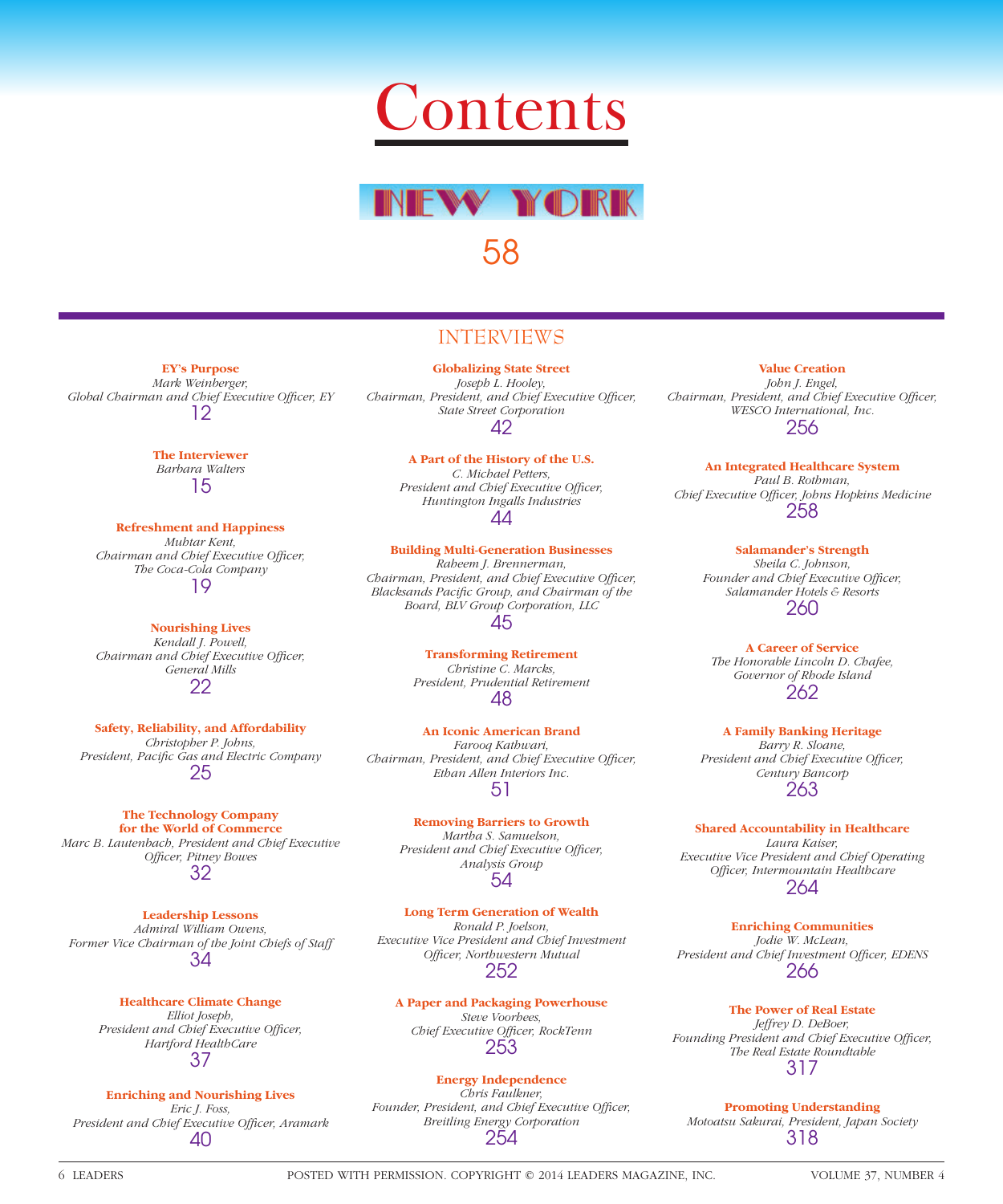



58

## INTERVIEWS

**EY's Purpose** *Mark Weinberger,*  Global Chairman and Chief Executive Officer, EY 12

> **The Interviewer** *Barbara Walters* 15

**Refreshment and Happiness** *Muhtar Kent, Chairman and Chief Executive Officer, The Coca-Cola Company* 19

**Nourishing Lives** *Kendall J. Powell, Chairman and Chief Executive Officer, General Mills* 22

**Safety, Reliability, and Affordability** *Christopher P. Johns,*  President, Pacific Gas and Electric Company 25

**The Technology Company for the World of Commerce** *Marc B. Lautenbach, President and Chief Executive Offi cer, Pitney Bowes* 32

**Leadership Lessons** *Admiral William Owens, Former Vice Chairman of the Joint Chiefs of Staff* 34

> **Healthcare Climate Change** *Elliot Joseph, President and Chief Executive Officer, Hartford HealthCare* 37

**Enriching and Nourishing Lives** *Eric J. Foss,*  President and Chief Executive Officer, Aramark 40

**Globalizing State Street** *Joseph L. Hooley, Chairman, President, and Chief Executive Officer, State Street Corporation* 42

> **A Part of the History of the U.S.** *C. Michael Petters,*  President and Chief Executive Officer, *Huntington Ingalls Industries* 44

**Building Multi-Generation Businesses** *Raheem J. Brennerman, Chairman, President, and Chief Executive Officer,* **Blacksands Pacific Group, and Chairman of the** *Board, BLV Group Corporation, LLC* 45

> **Transforming Retirement** *Christine C. Marcks, President, Prudential Retirement* 48

**An Iconic American Brand** *Farooq Kathwari, Chairman, President, and Chief Executive Officer, Ethan Allen Interiors Inc.* 51

> **Removing Barriers to Growth** *Martha S. Samuelson, President and Chief Executive Officer, Analysis Group* 54

**Long Term Generation of Wealth** *Ronald P. Joelson, Executive Vice President and Chief Investment Offi cer, Northwestern Mutual* 252

**A Paper and Packaging Powerhouse** *Steve Voorhees,*  **Chief Executive Officer, RockTenn** 253

**Energy Independence** *Chris Faulkner,*  Founder, President, and Chief Executive Officer, *Breitling Energy Corporation* 254

**Value Creation** *John J. Engel, Chairman, President, and Chief Executive Officer, WESCO International, Inc.* 256

**An Integrated Healthcare System** *Paul B. Rothman, Chief Executive Offi cer, Johns Hopkins Medicine* 258

> **Salamander's Strength** *Sheila C. Johnson,*  Founder and Chief Executive Officer, *Salamander Hotels & Resorts* 260

**A Career of Service** *The Honorable Lincoln D. Chafee, Governor of Rhode Island* 262

**A Family Banking Heritage** *Barry R. Sloane, President and Chief Executive Officer, Century Bancorp* 263

**Shared Accountability in Healthcare** *Laura Kaiser, Executive Vice President and Chief Operating Offi cer, Intermountain Healthcare* 264

**Enriching Communities** *Jodie W. McLean,*  President and Chief Investment Officer, EDENS 266

**The Power of Real Estate** *Jeffrey D. DeBoer,*  Founding President and Chief Executive Officer, *The Real Estate Roundtable* 317

**Promoting Understanding** *Motoatsu Sakurai, President, Japan Society* 318

6 LEADERS POSTED WITH PERMISSION. COPYRIGHT © 2014 LEADERS MAGAZINE, INC. VOLUME 37, NUMBER 4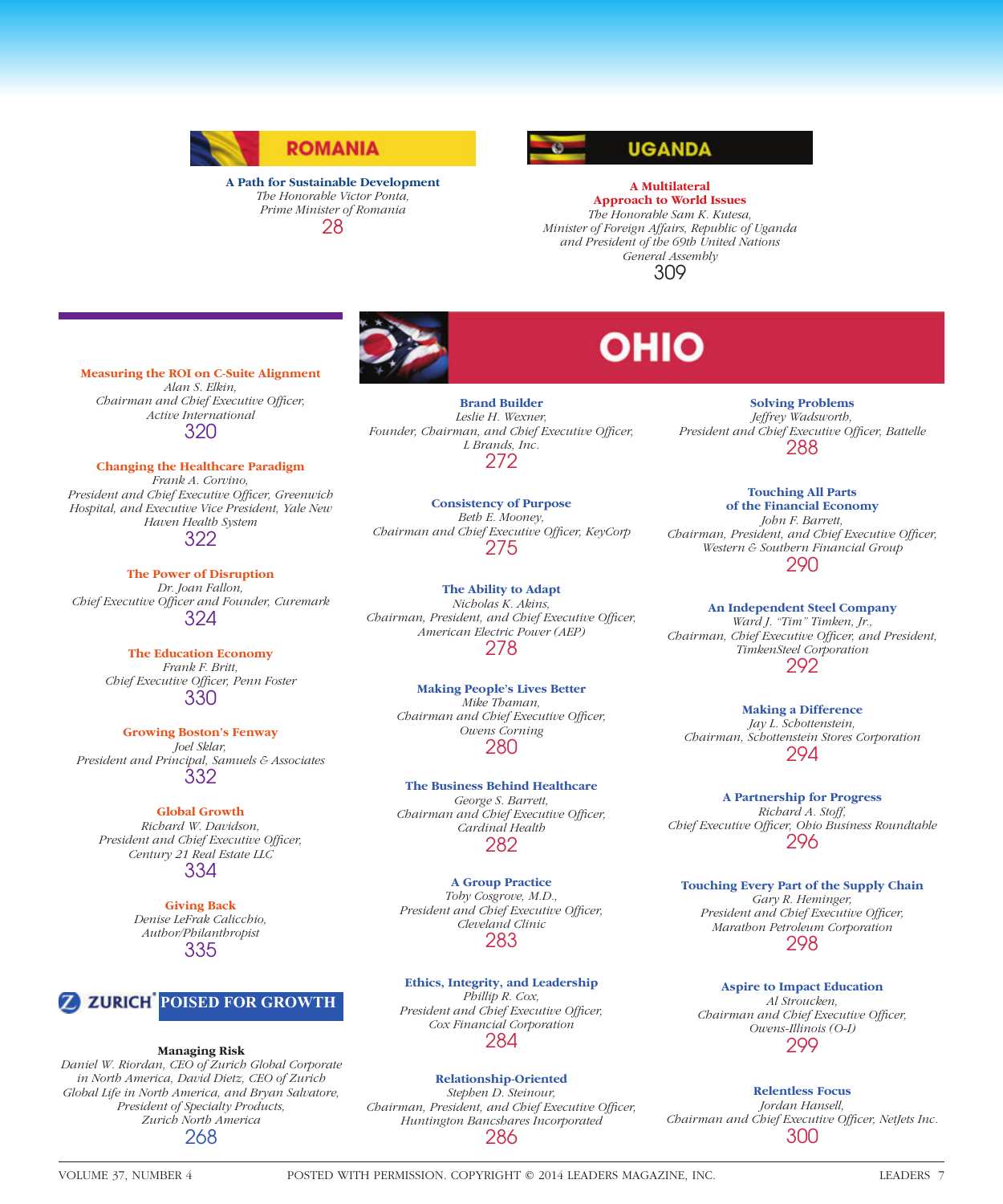

#### **A Path for Sustainable Development** *The Honorable Victor Ponta, Prime Minister of Romania* 28



## **A Multilateral Approach to World Issues** *The Honorable Sam K. Kutesa, Minister of Foreign Affairs, Republic of Uganda and President of the 69th United Nations General Assembly*

309

**Measuring the ROI on C-Suite Alignment** *Alan S. Elkin, Chairman and Chief Executive Officer, Active International*

320

**Changing the Healthcare Paradigm** *Frank A. Corvino,*  President and Chief Executive Officer, Greenwich *Hospital, and Executive Vice President, Yale New Haven Health System* 322

**The Power of Disruption** *Dr. Joan Fallon, Chief Executive Officer and Founder, Curemark* 324

> **The Education Economy** *Frank F. Britt, Chief Executive Officer, Penn Foster* 330

**Growing Boston's Fenway** *Joel Sklar, President and Principal, Samuels & Associates* 332

**Global Growth** *Richard W. Davidson,*  President and Chief Executive Officer, *Century 21 Real Estate LLC* 334

> **Giving Back** *Denise LeFrak Calicchio, Author/Philanthropist* 335



### **Managing Risk**

*Daniel W. Riordan, CEO of Zurich Global Corporate in North America, David Dietz, CEO of Zurich Global Life in North America, and Bryan Salvatore, President of Specialty Products, Zurich North America* 268

**Brand Builder** *Leslie H. Wexner,*  Founder, Chairman, and Chief Executive Officer, *L Brands, Inc.* 272

**Consistency of Purpose** *Beth E. Mooney, Chairman and Chief Executive Offi cer, KeyCorp* 275

**The Ability to Adapt** *Nicholas K. Akins, Chairman, President, and Chief Executive Officer, American Electric Power (AEP)* 278

**Making People's Lives Better** *Mike Thaman, Chairman and Chief Executive Officer, Owens Corning* 280

**The Business Behind Healthcare** *George S. Barrett, Chairman and Chief Executive Officer, Cardinal Health* 282

**A Group Practice** *Toby Cosgrove, M.D., President and Chief Executive Officer, Cleveland Clinic* 283

**Ethics, Integrity, and Leadership** *Phillip R. Cox, President and Chief Executive Officer, Cox Financial Corporation* 284

## **Relationship-Oriented**

*Stephen D. Steinour, Chairman, President, and Chief Executive Officer, Huntington Bancshares Incorporated* 286

# OHIO

**Solving Problems** *Jeffrey Wadsworth,*  President and Chief Executive Officer, Battelle 288

**Touching All Parts of the Financial Economy** *John F. Barrett, Chairman, President, and Chief Executive Officer, Western & Southern Financial Group* 290

**An Independent Steel Company** *Ward J. "Tim" Timken, Jr., Chairman, Chief Executive Officer, and President, TimkenSteel Corporation* 292

**Making a Difference** *Jay L. Schottenstein, Chairman, Schottenstein Stores Corporation* 294

**A Partnership for Progress** *Richard A. Stoff,*  Chief Executive Officer, Ohio Business Roundtable 296

**Touching Every Part of the Supply Chain** *Gary R. Heminger, President and Chief Executive Officer, Marathon Petroleum Corporation* 298

**Aspire to Impact Education** *Al Stroucken, Chairman and Chief Executive Officer, Owens-Illinois (O-I)* 299

**Relentless Focus** *Jordan Hansell,*  Chairman and Chief Executive Officer, NetJets Inc. 300